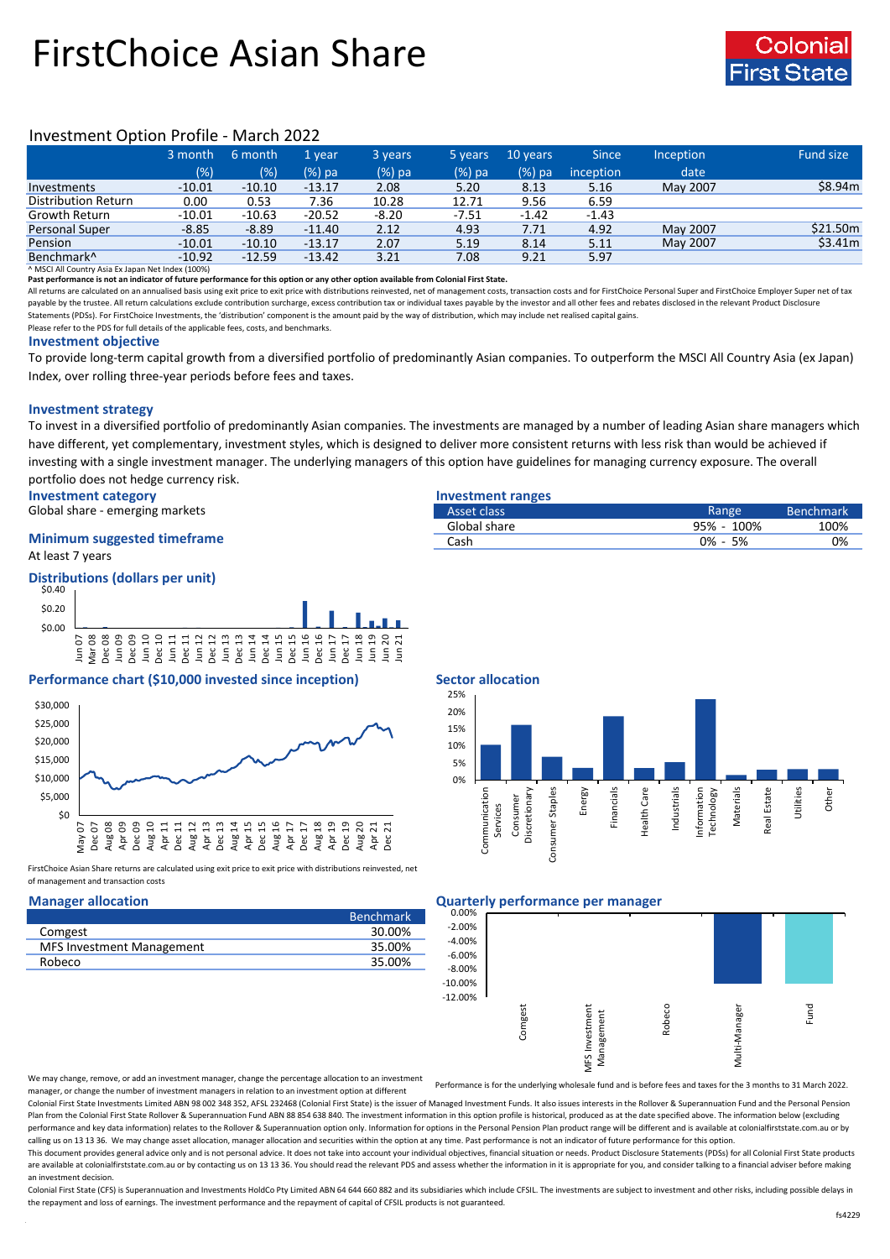# FirstChoice Asian Share



## Investment Option Profile - March 2022

|                            | 3 month  | 6 month  | 1 vear   | 3 years | 5 years | 10 years | <b>Since</b> | Inception | Fund size |
|----------------------------|----------|----------|----------|---------|---------|----------|--------------|-----------|-----------|
|                            | (% )     | (% )     | (%) pa   | (%) pa  | (%) pa  | $(%)$ pa | inception    | date      |           |
| Investments                | $-10.01$ | $-10.10$ | $-13.17$ | 2.08    | 5.20    | 8.13     | 5.16         | May 2007  | \$8.94m   |
| <b>Distribution Return</b> | 0.00     | 0.53     | 7.36     | 10.28   | 12.71   | 9.56     | 6.59         |           |           |
| Growth Return              | $-10.01$ | $-10.63$ | $-20.52$ | $-8.20$ | -7.51   | $-1.42$  | $-1.43$      |           |           |
| <b>Personal Super</b>      | $-8.85$  | $-8.89$  | $-11.40$ | 2.12    | 4.93    | 7.71     | 4.92         | May 2007  | \$21.50m  |
| Pension                    | $-10.01$ | $-10.10$ | $-13.17$ | 2.07    | 5.19    | 8.14     | 5.11         | May 2007  | \$3.41m   |
| Benchmark <sup>^</sup>     | $-10.92$ | $-12.59$ | $-13.42$ | 3.21    | 7.08    | 9.21     | 5.97         |           |           |

^ MSCI All Country Asia Ex Japan Net Index (100%)

**Past performance is not an indicator of future performance for this option or any other option available from Colonial First State.**

All returns are calculated on an annualised basis using exit price to exit price with distributions reinvested, net of management costs, transaction costs and for FirstChoice Personal Super and FirstChoice Employer Super n payable by the trustee. All return calculations exclude contribution surcharge, excess contribution tax or individual taxes payable by the investor and all other fees and rebates disclosed in the relevant Product Disclosur Statements (PDSs). For FirstChoice Investments, the 'distribution' component is the amount paid by the way of distribution, which may include net realised capital gains.

Please refer to the PDS for full details of the applicable fees, costs, and benchmarks.

### **Investment objective**

To provide long-term capital growth from a diversified portfolio of predominantly Asian companies. To outperform the MSCI All Country Asia (ex Japan) Index, over rolling three-year periods before fees and taxes.

### **Investment strategy**

To invest in a diversified portfolio of predominantly Asian companies. The investments are managed by a number of leading Asian share managers which have different, yet complementary, investment styles, which is designed to deliver more consistent returns with less risk than would be achieved if investing with a single investment manager. The underlying managers of this option have guidelines for managing currency exposure. The overall portfolio does not hedge currency risk.

**Investment category Investment ranges**

Global share - emerging markets

### At least 7 years **Minimum suggested timeframe**

### **Distributions (dollars per unit)**



### **Performance chart (\$10,000 invested since inception) Sector allocation**



FirstChoice Asian Share returns are calculated using exit price to exit price with distributions reinvested, net of management and transaction costs

|                                  | <b>Benchmark</b> |
|----------------------------------|------------------|
| Comgest                          | 30.00%           |
| <b>MFS Investment Management</b> | 35.00%           |
| Robeco                           | 35.00%           |
|                                  |                  |

| Asset class  | Range       | <b>Benchmark</b> |
|--------------|-------------|------------------|
| Global share | 95% - 100%  | 100%             |
| Cash         | $0\% - 5\%$ | 0%               |



### **Manager allocation Quarterly performance per manager**



We may change, remove, or add an investment manager, change the percentage allocation to an investment manager, or change the number of investment managers in relation to an investment option at different

Performance is for the underlying wholesale fund and is before fees and taxes for the 3 months to 31 March 2022.

Colonial First State Investments Limited ABN 98 002 348 352, AFSL 232468 (Colonial First State) is the issuer of Managed Investment Funds. It also issues interests in the Rollover & Superannuation Fund and the Personal Pen Plan from the Colonial First State Rollover & Superannuation Fund ABN 88 854 638 840. The investment information in this option profile is historical, produced as at the date specified above. The information below (excludi performance and key data information) relates to the Rollover & Superannuation option only. Information for options in the Personal Pension Plan product range will be different and is available at colonialfirststate.com.au calling us on 13 13 36. We may change asset allocation, manager allocation and securities within the option at any time. Past performance is not an indicator of future performance for this option

This document provides general advice only and is not personal advice. It does not take into account your individual objectives, financial situation or needs. Product Disclosure Statements (PDSs) for all Colonial First Sta are available at colonialfirststate.com.au or by contacting us on 13 13 36. You should read the relevant PDS and assess whether the information in it is appropriate for you, and consider talking to a financial adviser befo an investment decision.

Colonial First State (CFS) is Superannuation and Investments HoldCo Ptv Limited ABN 64 644 660 882 and its subsidiaries which include CFSIL. The investments are subject to investment and other risks, including possible del the repayment and loss of earnings. The investment performance and the repayment of capital of CFSIL products is not guaranteed.